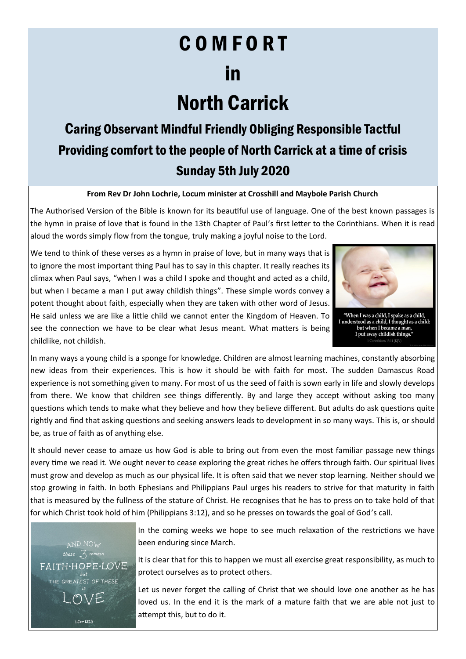# C O M F O R T

### in

### North Carrick

### Caring Observant Mindful Friendly Obliging Responsible Tactful Providing comfort to the people of North Carrick at a time of crisis Sunday 5th July 2020

#### **From Rev Dr John Lochrie, Locum minister at Crosshill and Maybole Parish Church**

The Authorised Version of the Bible is known for its beautiful use of language. One of the best known passages is the hymn in praise of love that is found in the 13th Chapter of Paul's first letter to the Corinthians. When it is read aloud the words simply flow from the tongue, truly making a joyful noise to the Lord.

We tend to think of these verses as a hymn in praise of love, but in many ways that is to ignore the most important thing Paul has to say in this chapter. It really reaches its climax when Paul says, "when I was a child I spoke and thought and acted as a child, but when I became a man I put away childish things". These simple words convey a potent thought about faith, especially when they are taken with other word of Jesus. He said unless we are like a little child we cannot enter the Kingdom of Heaven. To see the connection we have to be clear what Jesus meant. What matters is being childlike, not childish.



 $\begin{array}{c} \textit{``When I was a child, I spake as a child,} \\ \textit{I understood as a child, I thought as a child:} \\ \textit{but when I became a man,} \\ \textit{I put away childish things.''} \end{array}$ 

In many ways a young child is a sponge for knowledge. Children are almost learning machines, constantly absorbing new ideas from their experiences. This is how it should be with faith for most. The sudden Damascus Road experience is not something given to many. For most of us the seed of faith is sown early in life and slowly develops from there. We know that children see things differently. By and large they accept without asking too many questions which tends to make what they believe and how they believe different. But adults do ask questions quite rightly and find that asking questions and seeking answers leads to development in so many ways. This is, or should be, as true of faith as of anything else.

It should never cease to amaze us how God is able to bring out from even the most familiar passage new things every time we read it. We ought never to cease exploring the great riches he offers through faith. Our spiritual lives must grow and develop as much as our physical life. It is often said that we never stop learning. Neither should we stop growing in faith. In both Ephesians and Philippians Paul urges his readers to strive for that maturity in faith that is measured by the fullness of the stature of Christ. He recognises that he has to press on to take hold of that for which Christ took hold of him (Philippians 3:12), and so he presses on towards the goal of God's call.

AND NOW these  $\frac{7}{2}$  remain FAITH-HOPE-LOVE THE GREATEST OF THESE  $1$  Cor  $13:13$ 

In the coming weeks we hope to see much relaxation of the restrictions we have been enduring since March.

It is clear that for this to happen we must all exercise great responsibility, as much to protect ourselves as to protect others.

Let us never forget the calling of Christ that we should love one another as he has loved us. In the end it is the mark of a mature faith that we are able not just to attempt this, but to do it.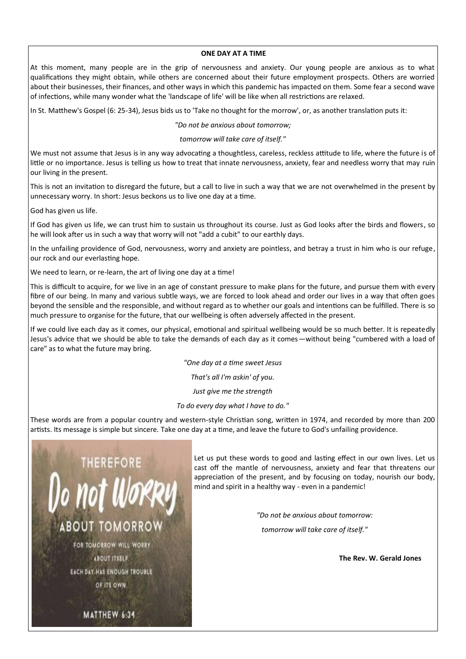#### **ONE DAY AT A TIME**

At this moment, many people are in the grip of nervousness and anxiety. Our young people are anxious as to what qualifications they might obtain, while others are concerned about their future employment prospects. Others are worried about their businesses, their finances, and other ways in which this pandemic has impacted on them. Some fear a second wave of infections, while many wonder what the 'landscape of life' will be like when all restrictions are relaxed.

In St. Matthew's Gospel (6: 25-34), Jesus bids us to 'Take no thought for the morrow', or, as another translation puts it:

*"Do not be anxious about tomorrow;*

*tomorrow will take care of itself."*

We must not assume that Jesus is in any way advocating a thoughtless, careless, reckless attitude to life, where the future is of little or no importance. Jesus is telling us how to treat that innate nervousness, anxiety, fear and needless worry that may ruin our living in the present.

This is not an invitation to disregard the future, but a call to live in such a way that we are not overwhelmed in the present by unnecessary worry. In short: Jesus beckons us to live one day at a time.

God has given us life.

If God has given us life, we can trust him to sustain us throughout its course. Just as God looks after the birds and flowers, so he will look after us in such a way that worry will not "add a cubit" to our earthly days.

In the unfailing providence of God, nervousness, worry and anxiety are pointless, and betray a trust in him who is our refuge, our rock and our everlasting hope.

We need to learn, or re-learn, the art of living one day at a time!

This is difficult to acquire, for we live in an age of constant pressure to make plans for the future, and pursue them with every fibre of our being. In many and various subtle ways, we are forced to look ahead and order our lives in a way that often goes beyond the sensible and the responsible, and without regard as to whether our goals and intentions can be fulfilled. There is so much pressure to organise for the future, that our wellbeing is often adversely affected in the present.

If we could live each day as it comes, our physical, emotional and spiritual wellbeing would be so much better. It is repeatedly Jesus's advice that we should be able to take the demands of each day as it comes—without being "cumbered with a load of care" as to what the future may bring.

*"One day at a time sweet Jesus*

*That's all I'm askin' of you.*

*Just give me the strength* 

*To do every day what I have to do."*

These words are from a popular country and western-style Christian song, written in 1974, and recorded by more than 200 artists. Its message is simple but sincere. Take one day at a time, and leave the future to God's unfailing providence.

## THEREFORE not Wor **ABOUT TOMORROW** FOR TOMORROW WILL WORRY **ABOUT ITSELF. EACH DAY HAS ENOUGH TROUBLE** OF ITS OWN.

MATTHEW 6:34

Let us put these words to good and lasting effect in our own lives. Let us cast off the mantle of nervousness, anxiety and fear that threatens our appreciation of the present, and by focusing on today, nourish our body, mind and spirit in a healthy way - even in a pandemic!

> *"Do not be anxious about tomorrow: tomorrow will take care of itself."*

> > **The Rev. W. Gerald Jones**